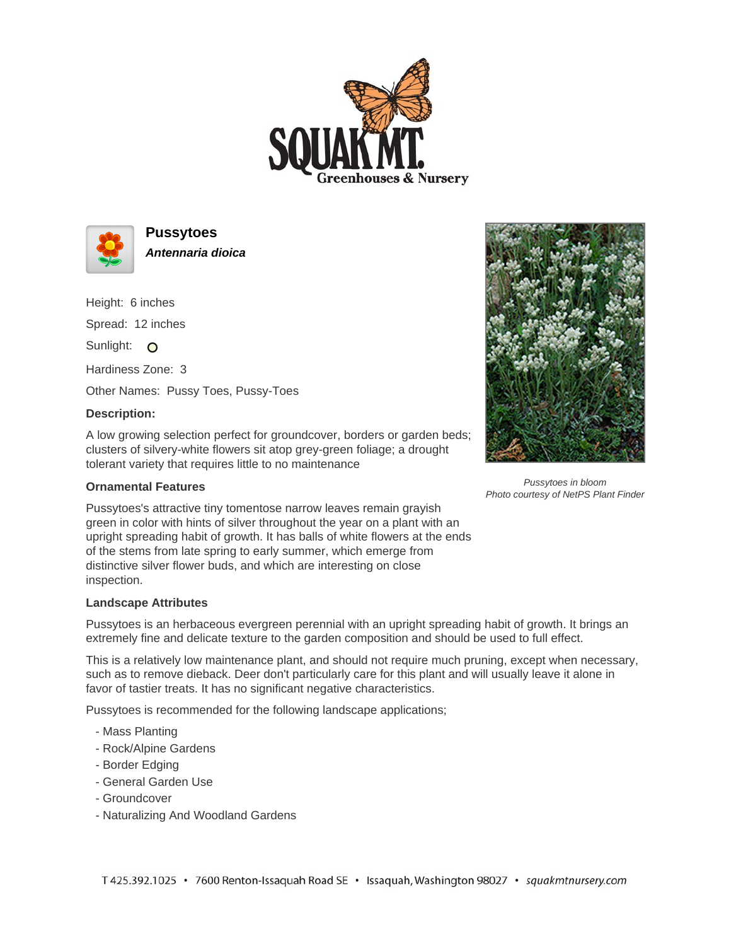



**Pussytoes Antennaria dioica**

Height: 6 inches

Spread: 12 inches

Sunlight: O

Hardiness Zone: 3

Other Names: Pussy Toes, Pussy-Toes

## **Description:**

A low growing selection perfect for groundcover, borders or garden beds; clusters of silvery-white flowers sit atop grey-green foliage; a drought tolerant variety that requires little to no maintenance

## **Ornamental Features**



Pussytoes in bloom Photo courtesy of NetPS Plant Finder

Pussytoes's attractive tiny tomentose narrow leaves remain grayish green in color with hints of silver throughout the year on a plant with an upright spreading habit of growth. It has balls of white flowers at the ends of the stems from late spring to early summer, which emerge from distinctive silver flower buds, and which are interesting on close inspection.

## **Landscape Attributes**

Pussytoes is an herbaceous evergreen perennial with an upright spreading habit of growth. It brings an extremely fine and delicate texture to the garden composition and should be used to full effect.

This is a relatively low maintenance plant, and should not require much pruning, except when necessary, such as to remove dieback. Deer don't particularly care for this plant and will usually leave it alone in favor of tastier treats. It has no significant negative characteristics.

Pussytoes is recommended for the following landscape applications;

- Mass Planting
- Rock/Alpine Gardens
- Border Edging
- General Garden Use
- Groundcover
- Naturalizing And Woodland Gardens